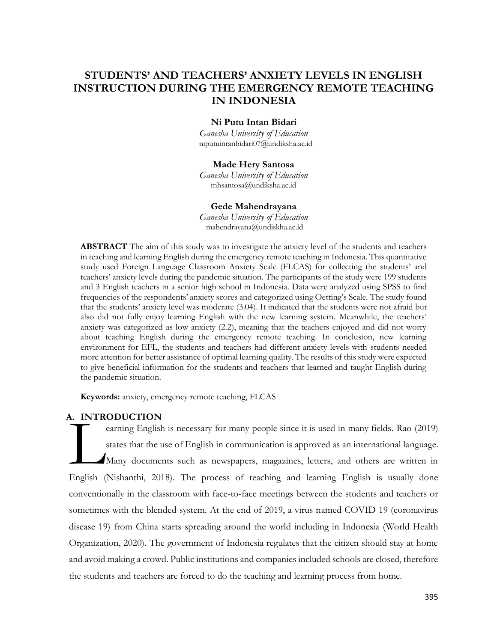# **STUDENTS' AND TEACHERS' ANXIETY LEVELS IN ENGLISH INSTRUCTION DURING THE EMERGENCY REMOTE TEACHING IN INDONESIA**

## **Ni Putu Intan Bidari**

*Ganesha University of Education* [niputuintanbidari07@undiksha.ac.id](mailto:niputuintanbidari07@undiksha.ac.id)

## **Made Hery Santosa**

*Ganesha University of Education* [mhsantosa@undiksha.ac.id](mailto:mhsantosa@undiksha.ac.id)

#### **Gede Mahendrayana**

*Ganesha University of Education* [mahendrayana@undiskha.ac.id](mailto:mahendrayana@undiskha.ac.id)

**ABSTRACT** The aim of this study was to investigate the anxiety level of the students and teachers in teaching and learning English during the emergency remote teaching in Indonesia. This quantitative study used Foreign Language Classroom Anxiety Scale (FLCAS) for collecting the students' and teachers' anxiety levels during the pandemic situation. The participants of the study were 199 students and 3 English teachers in a senior high school in Indonesia. Data were analyzed using SPSS to find frequencies of the respondents' anxiety scores and categorized using Oetting's Scale. The study found that the students' anxiety level was moderate (3.04). It indicated that the students were not afraid but also did not fully enjoy learning English with the new learning system. Meanwhile, the teachers' anxiety was categorized as low anxiety (2.2), meaning that the teachers enjoyed and did not worry about teaching English during the emergency remote teaching. In conclusion, new learning environment for EFL, the students and teachers had different anxiety levels with students needed more attention for better assistance of optimal learning quality. The results of this study were expected to give beneficial information for the students and teachers that learned and taught English during the pandemic situation.

**Keywords:** anxiety, emergency remote teaching, FLCAS

## **A. INTRODUCTION**

earning English is necessary for many people since it is used in many fields. Rao (2019) states that the use of English in communication is approved as an international language. Many documents such as newspapers, magazines, letters, and others are written in English (Nishanthi, 2018). The process of teaching and learning English is usually done conventionally in the classroom with face-to-face meetings between the students and teachers or sometimes with the blended system. At the end of 2019, a virus named COVID 19 (coronavirus disease 19) from China starts spreading around the world including in Indonesia (World Health Organization, 2020). The government of Indonesia regulates that the citizen should stay at home and avoid making a crowd. Public institutions and companies included schools are closed, therefore the students and teachers are forced to do the teaching and learning process from home. **L.** INTR<br>English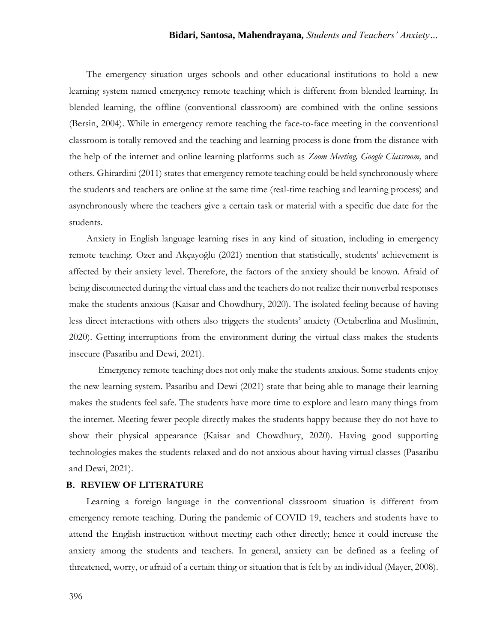The emergency situation urges schools and other educational institutions to hold a new learning system named emergency remote teaching which is different from blended learning. In blended learning, the offline (conventional classroom) are combined with the online sessions (Bersin, 2004). While in emergency remote teaching the face-to-face meeting in the conventional classroom is totally removed and the teaching and learning process is done from the distance with the help of the internet and online learning platforms such as *Zoom Meeting, Google Classroom,* and others. Ghirardini (2011) states that emergency remote teaching could be held synchronously where the students and teachers are online at the same time (real-time teaching and learning process) and asynchronously where the teachers give a certain task or material with a specific due date for the students.

Anxiety in English language learning rises in any kind of situation, including in emergency remote teaching. Ozer and Akçayoğlu (2021) mention that statistically, students' achievement is affected by their anxiety level. Therefore, the factors of the anxiety should be known. Afraid of being disconnected during the virtual class and the teachers do not realize their nonverbal responses make the students anxious (Kaisar and Chowdhury, 2020). The isolated feeling because of having less direct interactions with others also triggers the students' anxiety (Octaberlina and Muslimin, 2020). Getting interruptions from the environment during the virtual class makes the students insecure (Pasaribu and Dewi, 2021).

Emergency remote teaching does not only make the students anxious. Some students enjoy the new learning system. Pasaribu and Dewi (2021) state that being able to manage their learning makes the students feel safe. The students have more time to explore and learn many things from the internet. Meeting fewer people directly makes the students happy because they do not have to show their physical appearance (Kaisar and Chowdhury, 2020). Having good supporting technologies makes the students relaxed and do not anxious about having virtual classes (Pasaribu and Dewi, 2021).

#### **B. REVIEW OF LITERATURE**

Learning a foreign language in the conventional classroom situation is different from emergency remote teaching. During the pandemic of COVID 19, teachers and students have to attend the English instruction without meeting each other directly; hence it could increase the anxiety among the students and teachers. In general, anxiety can be defined as a feeling of threatened, worry, or afraid of a certain thing or situation that is felt by an individual (Mayer, 2008).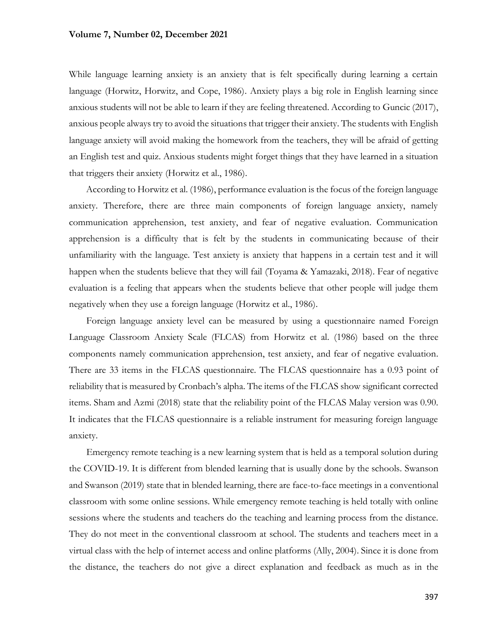While language learning anxiety is an anxiety that is felt specifically during learning a certain language (Horwitz, Horwitz, and Cope, 1986). Anxiety plays a big role in English learning since anxious students will not be able to learn if they are feeling threatened. According to Guncic (2017), anxious people always try to avoid the situations that trigger their anxiety. The students with English language anxiety will avoid making the homework from the teachers, they will be afraid of getting an English test and quiz. Anxious students might forget things that they have learned in a situation that triggers their anxiety (Horwitz et al., 1986).

According to Horwitz et al. (1986), performance evaluation is the focus of the foreign language anxiety. Therefore, there are three main components of foreign language anxiety, namely communication apprehension, test anxiety, and fear of negative evaluation. Communication apprehension is a difficulty that is felt by the students in communicating because of their unfamiliarity with the language. Test anxiety is anxiety that happens in a certain test and it will happen when the students believe that they will fail (Toyama & Yamazaki, 2018). Fear of negative evaluation is a feeling that appears when the students believe that other people will judge them negatively when they use a foreign language (Horwitz et al., 1986).

Foreign language anxiety level can be measured by using a questionnaire named Foreign Language Classroom Anxiety Scale (FLCAS) from Horwitz et al. (1986) based on the three components namely communication apprehension, test anxiety, and fear of negative evaluation. There are 33 items in the FLCAS questionnaire. The FLCAS questionnaire has a 0.93 point of reliability that is measured by Cronbach's alpha. The items of the FLCAS show significant corrected items. Sham and Azmi (2018) state that the reliability point of the FLCAS Malay version was 0.90. It indicates that the FLCAS questionnaire is a reliable instrument for measuring foreign language anxiety.

Emergency remote teaching is a new learning system that is held as a temporal solution during the COVID-19. It is different from blended learning that is usually done by the schools. Swanson and Swanson (2019) state that in blended learning, there are face-to-face meetings in a conventional classroom with some online sessions. While emergency remote teaching is held totally with online sessions where the students and teachers do the teaching and learning process from the distance. They do not meet in the conventional classroom at school. The students and teachers meet in a virtual class with the help of internet access and online platforms (Ally, 2004). Since it is done from the distance, the teachers do not give a direct explanation and feedback as much as in the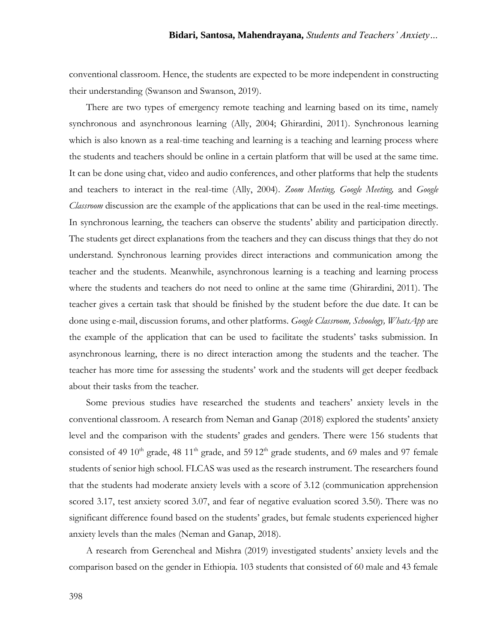conventional classroom. Hence, the students are expected to be more independent in constructing their understanding (Swanson and Swanson, 2019).

There are two types of emergency remote teaching and learning based on its time, namely synchronous and asynchronous learning (Ally, 2004; Ghirardini, 2011). Synchronous learning which is also known as a real-time teaching and learning is a teaching and learning process where the students and teachers should be online in a certain platform that will be used at the same time. It can be done using chat, video and audio conferences, and other platforms that help the students and teachers to interact in the real-time (Ally, 2004). *Zoom Meeting, Google Meeting,* and *Google Classroom* discussion are the example of the applications that can be used in the real-time meetings. In synchronous learning, the teachers can observe the students' ability and participation directly. The students get direct explanations from the teachers and they can discuss things that they do not understand. Synchronous learning provides direct interactions and communication among the teacher and the students. Meanwhile, asynchronous learning is a teaching and learning process where the students and teachers do not need to online at the same time (Ghirardini, 2011). The teacher gives a certain task that should be finished by the student before the due date. It can be done using e-mail, discussion forums, and other platforms. *Google Classroom, Schoology, WhatsApp* are the example of the application that can be used to facilitate the students' tasks submission. In asynchronous learning, there is no direct interaction among the students and the teacher. The teacher has more time for assessing the students' work and the students will get deeper feedback about their tasks from the teacher.

Some previous studies have researched the students and teachers' anxiety levels in the conventional classroom. A research from Neman and Ganap (2018) explored the students' anxiety level and the comparison with the students' grades and genders. There were 156 students that consisted of 49  $10<sup>th</sup>$  grade, 48  $11<sup>th</sup>$  grade, and 59  $12<sup>th</sup>$  grade students, and 69 males and 97 female students of senior high school. FLCAS was used as the research instrument. The researchers found that the students had moderate anxiety levels with a score of 3.12 (communication apprehension scored 3.17, test anxiety scored 3.07, and fear of negative evaluation scored 3.50). There was no significant difference found based on the students' grades, but female students experienced higher anxiety levels than the males (Neman and Ganap, 2018).

A research from Gerencheal and Mishra (2019) investigated students' anxiety levels and the comparison based on the gender in Ethiopia. 103 students that consisted of 60 male and 43 female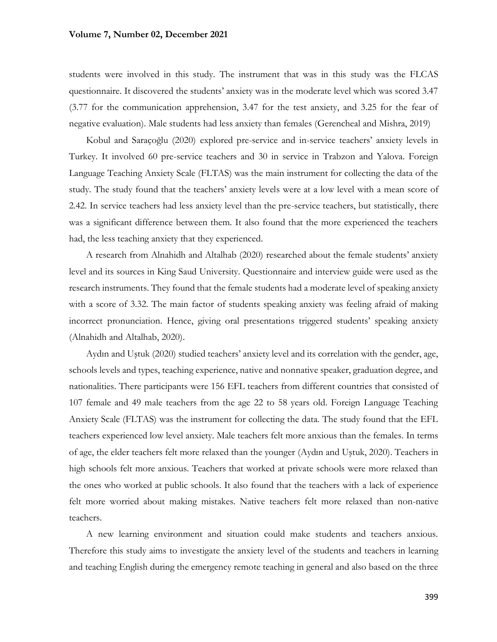students were involved in this study. The instrument that was in this study was the FLCAS questionnaire. It discovered the students' anxiety was in the moderate level which was scored 3.47 (3.77 for the communication apprehension, 3.47 for the test anxiety, and 3.25 for the fear of negative evaluation). Male students had less anxiety than females (Gerencheal and Mishra, 2019)

Kobul and Saraçoğlu (2020) explored pre-service and in-service teachers' anxiety levels in Turkey. It involved 60 pre-service teachers and 30 in service in Trabzon and Yalova. Foreign Language Teaching Anxiety Scale (FLTAS) was the main instrument for collecting the data of the study. The study found that the teachers' anxiety levels were at a low level with a mean score of 2.42. In service teachers had less anxiety level than the pre-service teachers, but statistically, there was a significant difference between them. It also found that the more experienced the teachers had, the less teaching anxiety that they experienced.

A research from Alnahidh and Altalhab (2020) researched about the female students' anxiety level and its sources in King Saud University. Questionnaire and interview guide were used as the research instruments. They found that the female students had a moderate level of speaking anxiety with a score of 3.32. The main factor of students speaking anxiety was feeling afraid of making incorrect pronunciation. Hence, giving oral presentations triggered students' speaking anxiety (Alnahidh and Altalhab, 2020).

Aydın and Uştuk (2020) studied teachers' anxiety level and its correlation with the gender, age, schools levels and types, teaching experience, native and nonnative speaker, graduation degree, and nationalities. There participants were 156 EFL teachers from different countries that consisted of 107 female and 49 male teachers from the age 22 to 58 years old. Foreign Language Teaching Anxiety Scale (FLTAS) was the instrument for collecting the data. The study found that the EFL teachers experienced low level anxiety. Male teachers felt more anxious than the females. In terms of age, the elder teachers felt more relaxed than the younger (Aydın and Uştuk, 2020). Teachers in high schools felt more anxious. Teachers that worked at private schools were more relaxed than the ones who worked at public schools. It also found that the teachers with a lack of experience felt more worried about making mistakes. Native teachers felt more relaxed than non-native teachers.

A new learning environment and situation could make students and teachers anxious. Therefore this study aims to investigate the anxiety level of the students and teachers in learning and teaching English during the emergency remote teaching in general and also based on the three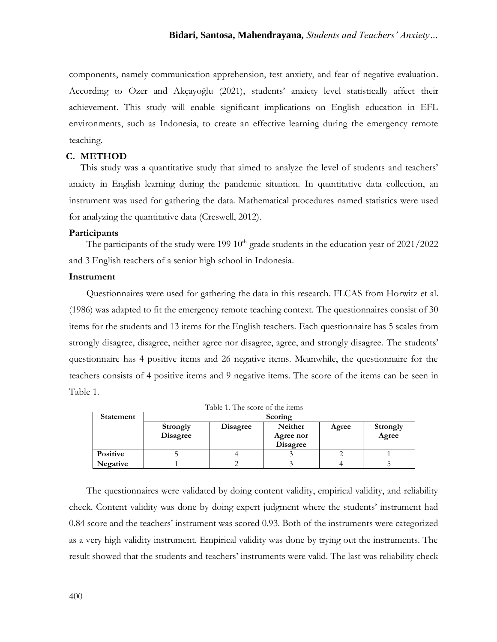components, namely communication apprehension, test anxiety, and fear of negative evaluation. According to Ozer and Akçayoğlu (2021), students' anxiety level statistically affect their achievement. This study will enable significant implications on English education in EFL environments, such as Indonesia, to create an effective learning during the emergency remote teaching.

## **C. METHOD**

This study was a quantitative study that aimed to analyze the level of students and teachers' anxiety in English learning during the pandemic situation. In quantitative data collection, an instrument was used for gathering the data. Mathematical procedures named statistics were used for analyzing the quantitative data (Creswell, 2012).

#### **Participants**

The participants of the study were 199  $10<sup>th</sup>$  grade students in the education year of  $2021/2022$ and 3 English teachers of a senior high school in Indonesia.

#### **Instrument**

Questionnaires were used for gathering the data in this research. FLCAS from Horwitz et al. (1986) was adapted to fit the emergency remote teaching context. The questionnaires consist of 30 items for the students and 13 items for the English teachers. Each questionnaire has 5 scales from strongly disagree, disagree, neither agree nor disagree, agree, and strongly disagree. The students' questionnaire has 4 positive items and 26 negative items. Meanwhile, the questionnaire for the teachers consists of 4 positive items and 9 negative items. The score of the items can be seen in Table 1.

| <b>Statement</b> | Scoring                     |                 |                                         |       |                          |
|------------------|-----------------------------|-----------------|-----------------------------------------|-------|--------------------------|
|                  | Strongly<br><b>Disagree</b> | <b>Disagree</b> | Neither<br>Agree nor<br><b>Disagree</b> | Agree | <b>Strongly</b><br>Agree |
| <b>Positive</b>  |                             |                 |                                         |       |                          |
| Negative         |                             |                 |                                         |       |                          |

| Table 1. The score of the items |  |  |  |
|---------------------------------|--|--|--|

The questionnaires were validated by doing content validity, empirical validity, and reliability check. Content validity was done by doing expert judgment where the students' instrument had 0.84 score and the teachers' instrument was scored 0.93. Both of the instruments were categorized as a very high validity instrument. Empirical validity was done by trying out the instruments. The result showed that the students and teachers' instruments were valid. The last was reliability check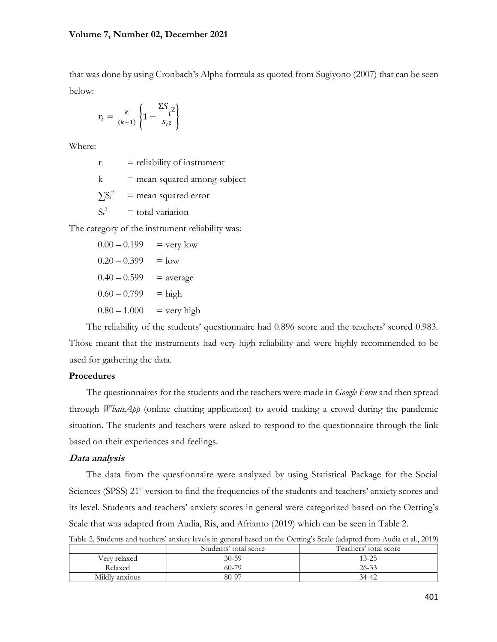that was done by using Cronbach's Alpha formula as quoted from Sugiyono (2007) that can be seen below:

$$
r_i = \frac{k}{(k-1)} \left\{ 1 - \frac{\Sigma S_{i^2}}{S_{t^2}} \right\}
$$

Where:

 $r_i$  = reliability of instrument

 $k =$  mean squared among subject

 $\sum S_i^2$  $=$  mean squared error

 $S_t^2$  $=$  total variation

The category of the instrument reliability was:

$$
0.00 - 0.199 = \text{very low}
$$
  
\n
$$
0.20 - 0.399 = \text{low}
$$
  
\n
$$
0.40 - 0.599 = \text{average}
$$
  
\n
$$
0.60 - 0.799 = \text{high}
$$
  
\n
$$
0.80 - 1.000 = \text{very high}
$$

The reliability of the students' questionnaire had 0.896 score and the teachers' scored 0.983. Those meant that the instruments had very high reliability and were highly recommended to be used for gathering the data.

## **Procedures**

The questionnaires for the students and the teachers were made in *Google Form* and then spread through *WhatsApp* (online chatting application) to avoid making a crowd during the pandemic situation. The students and teachers were asked to respond to the questionnaire through the link based on their experiences and feelings.

#### **Data analysis**

The data from the questionnaire were analyzed by using Statistical Package for the Social Sciences (SPSS) 21<sup>st</sup> version to find the frequencies of the students and teachers' anxiety scores and its level. Students and teachers' anxiety scores in general were categorized based on the Oetting's Scale that was adapted from Audia, Ris, and Afrianto (2019) which can be seen in Table 2.

|  |  |  | Table 2. Students and teachers' anxiety levels in general based on the Oetting's Scale (adapted from Audia et al., 2019) |
|--|--|--|--------------------------------------------------------------------------------------------------------------------------|
|--|--|--|--------------------------------------------------------------------------------------------------------------------------|

|                | Students' total score | Teachers' total score |
|----------------|-----------------------|-----------------------|
| Very relaxed   | $30 - 59$             | 13-25                 |
| Relaxed        | 60-79                 | $26 - 33$             |
| Mildly anxious | 80-97                 | $34-42$               |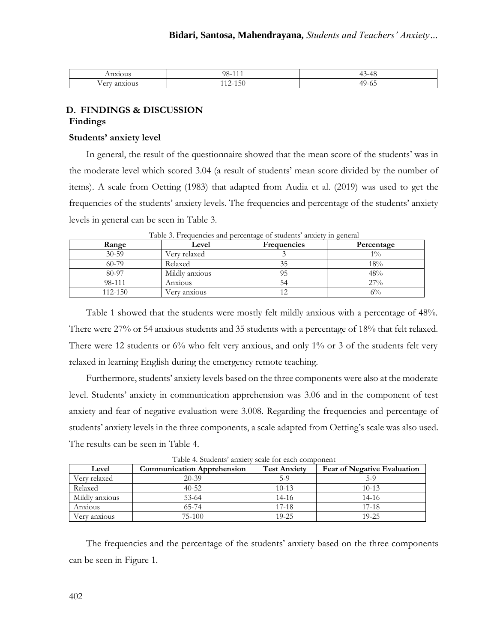| _______                                     | 98-<br>.                                                       | $\sim$<br>$\cdots$<br>.                                                |
|---------------------------------------------|----------------------------------------------------------------|------------------------------------------------------------------------|
| $\sim$ $\sim$<br>0.488<br>2317C<br>JU.<br>◡ | <b>Contract Contract</b><br>∽<br>-190<br>$-$<br>$\overline{1}$ | <b>Contract Contract Contract</b><br>- -<br>$\epsilon$<br>$\mathsf{v}$ |

## **D. FINDINGS & DISCUSSION Findings**

## **Students' anxiety level**

In general, the result of the questionnaire showed that the mean score of the students' was in the moderate level which scored 3.04 (a result of students' mean score divided by the number of items). A scale from Oetting (1983) that adapted from Audia et al. (2019) was used to get the frequencies of the students' anxiety levels. The frequencies and percentage of the students' anxiety levels in general can be seen in Table 3.

| Range     | Level          | <b>Frequencies</b> | Percentage |
|-----------|----------------|--------------------|------------|
| $30 - 59$ | Verv relaxed   |                    | $1\%$      |
| $60 - 79$ | Relaxed        | 35                 | 18%        |
| 80-97     | Mildly anxious |                    | 48%        |
| 98-111    | Anxious        | 54                 | 27%        |
| 112-150   | Verv anxious   |                    | $6\%$      |

Table 3. Frequencies and percentage of students' anxiety in general

Table 1 showed that the students were mostly felt mildly anxious with a percentage of 48%. There were 27% or 54 anxious students and 35 students with a percentage of 18% that felt relaxed. There were 12 students or 6% who felt very anxious, and only 1% or 3 of the students felt very relaxed in learning English during the emergency remote teaching.

Furthermore, students' anxiety levels based on the three components were also at the moderate level. Students' anxiety in communication apprehension was 3.06 and in the component of test anxiety and fear of negative evaluation were 3.008. Regarding the frequencies and percentage of students' anxiety levels in the three components, a scale adapted from Oetting's scale was also used. The results can be seen in Table 4.

| T ADIC +. OUGGIILS AHAIGLY SCAIG TOT GACH COMPOSICITE |                                   |                     |                                    |  |  |
|-------------------------------------------------------|-----------------------------------|---------------------|------------------------------------|--|--|
| Level                                                 | <b>Communication Apprehension</b> | <b>Test Anxiety</b> | <b>Fear of Negative Evaluation</b> |  |  |
| Verv relaxed                                          | $20 - 39$                         | 5-9                 | 5-9                                |  |  |
| Relaxed                                               | $40 - 52$                         | $10-13$             | $10-13$                            |  |  |
| Mildly anxious                                        | $53-64$                           | 14-16               | $14 - 16$                          |  |  |
| Anxious                                               | 65-74                             | $17-18$             | $17-18$                            |  |  |
| Verv anxious                                          | $75-100$                          | $19 - 25$           | $19 - 25$                          |  |  |

Table 4. Students' anxiety scale for each component

The frequencies and the percentage of the students' anxiety based on the three components can be seen in Figure 1.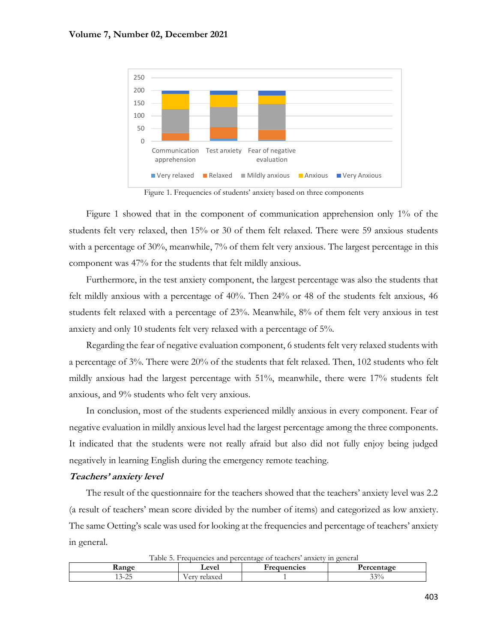

Figure 1. Frequencies of students' anxiety based on three components

Figure 1 showed that in the component of communication apprehension only 1% of the students felt very relaxed, then 15% or 30 of them felt relaxed. There were 59 anxious students with a percentage of 30%, meanwhile, 7% of them felt very anxious. The largest percentage in this component was 47% for the students that felt mildly anxious.

Furthermore, in the test anxiety component, the largest percentage was also the students that felt mildly anxious with a percentage of 40%. Then 24% or 48 of the students felt anxious, 46 students felt relaxed with a percentage of 23%. Meanwhile, 8% of them felt very anxious in test anxiety and only 10 students felt very relaxed with a percentage of 5%.

Regarding the fear of negative evaluation component, 6 students felt very relaxed students with a percentage of 3%. There were 20% of the students that felt relaxed. Then, 102 students who felt mildly anxious had the largest percentage with 51%, meanwhile, there were 17% students felt anxious, and 9% students who felt very anxious.

In conclusion, most of the students experienced mildly anxious in every component. Fear of negative evaluation in mildly anxious level had the largest percentage among the three components. It indicated that the students were not really afraid but also did not fully enjoy being judged negatively in learning English during the emergency remote teaching.

#### **Teachers' anxiety level**

The result of the questionnaire for the teachers showed that the teachers' anxiety level was 2.2 (a result of teachers' mean score divided by the number of items) and categorized as low anxiety. The same Oetting's scale was used for looking at the frequencies and percentage of teachers' anxiety in general.

| I able 5. Prequencies and beformage of teachers anxiety in general |               |             |            |  |  |  |
|--------------------------------------------------------------------|---------------|-------------|------------|--|--|--|
| <b>Aange</b>                                                       | <b>Level</b>  | Frequencies | Percentage |  |  |  |
| $\sim$ $\sim$ $\sim$<br>) – 4.                                     | v erv relaxed |             | 33%        |  |  |  |

Table 5. Frequencies and percentage of teachers' anxiety in general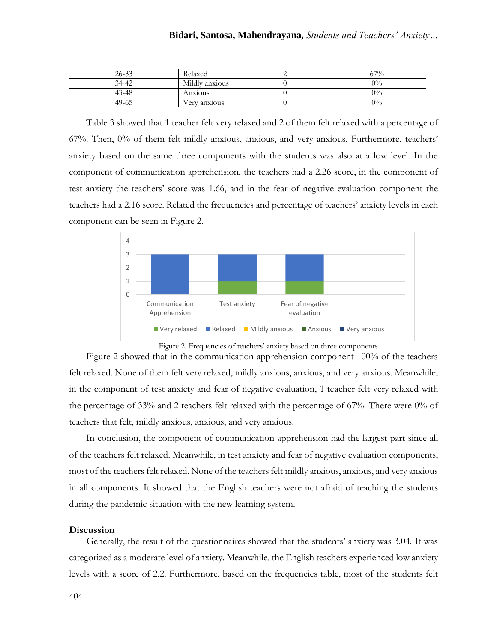| $26 - 33$ | Relaxed        | 67%   |
|-----------|----------------|-------|
| 34-42     | Mildly anxious | $0\%$ |
| 43-48     | Anxious        | $0\%$ |
| 49-65     | Very anxious   | $0\%$ |

Table 3 showed that 1 teacher felt very relaxed and 2 of them felt relaxed with a percentage of 67%. Then, 0% of them felt mildly anxious, anxious, and very anxious. Furthermore, teachers' anxiety based on the same three components with the students was also at a low level. In the component of communication apprehension, the teachers had a 2.26 score, in the component of test anxiety the teachers' score was 1.66, and in the fear of negative evaluation component the teachers had a 2.16 score. Related the frequencies and percentage of teachers' anxiety levels in each component can be seen in Figure 2.



Figure 2. Frequencies of teachers' anxiety based on three components

Figure 2 showed that in the communication apprehension component 100% of the teachers felt relaxed. None of them felt very relaxed, mildly anxious, anxious, and very anxious. Meanwhile, in the component of test anxiety and fear of negative evaluation, 1 teacher felt very relaxed with the percentage of 33% and 2 teachers felt relaxed with the percentage of 67%. There were 0% of teachers that felt, mildly anxious, anxious, and very anxious.

In conclusion, the component of communication apprehension had the largest part since all of the teachers felt relaxed. Meanwhile, in test anxiety and fear of negative evaluation components, most of the teachers felt relaxed. None of the teachers felt mildly anxious, anxious, and very anxious in all components. It showed that the English teachers were not afraid of teaching the students during the pandemic situation with the new learning system.

#### **Discussion**

Generally, the result of the questionnaires showed that the students' anxiety was 3.04. It was categorized as a moderate level of anxiety. Meanwhile, the English teachers experienced low anxiety levels with a score of 2.2. Furthermore, based on the frequencies table, most of the students felt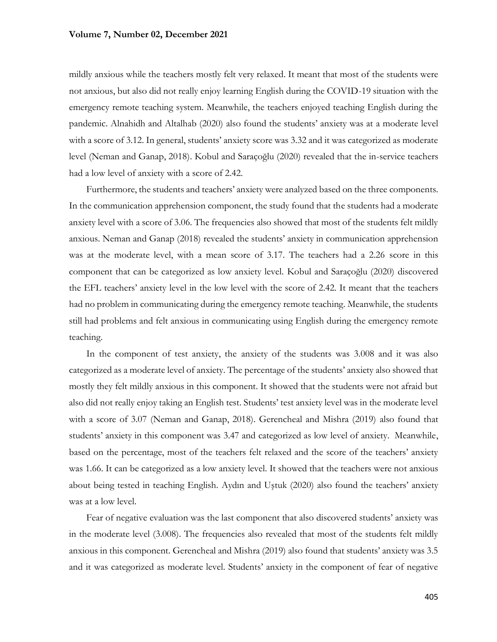mildly anxious while the teachers mostly felt very relaxed. It meant that most of the students were not anxious, but also did not really enjoy learning English during the COVID-19 situation with the emergency remote teaching system. Meanwhile, the teachers enjoyed teaching English during the pandemic. Alnahidh and Altalhab (2020) also found the students' anxiety was at a moderate level with a score of 3.12. In general, students' anxiety score was 3.32 and it was categorized as moderate level (Neman and Ganap, 2018). Kobul and Saraçoğlu (2020) revealed that the in-service teachers had a low level of anxiety with a score of 2.42.

Furthermore, the students and teachers' anxiety were analyzed based on the three components. In the communication apprehension component, the study found that the students had a moderate anxiety level with a score of 3.06. The frequencies also showed that most of the students felt mildly anxious. Neman and Ganap (2018) revealed the students' anxiety in communication apprehension was at the moderate level, with a mean score of 3.17. The teachers had a 2.26 score in this component that can be categorized as low anxiety level. Kobul and Saraçoğlu (2020) discovered the EFL teachers' anxiety level in the low level with the score of 2.42. It meant that the teachers had no problem in communicating during the emergency remote teaching. Meanwhile, the students still had problems and felt anxious in communicating using English during the emergency remote teaching.

In the component of test anxiety, the anxiety of the students was 3.008 and it was also categorized as a moderate level of anxiety. The percentage of the students' anxiety also showed that mostly they felt mildly anxious in this component. It showed that the students were not afraid but also did not really enjoy taking an English test. Students' test anxiety level was in the moderate level with a score of 3.07 (Neman and Ganap, 2018). Gerencheal and Mishra (2019) also found that students' anxiety in this component was 3.47 and categorized as low level of anxiety. Meanwhile, based on the percentage, most of the teachers felt relaxed and the score of the teachers' anxiety was 1.66. It can be categorized as a low anxiety level. It showed that the teachers were not anxious about being tested in teaching English. Aydın and Uştuk (2020) also found the teachers' anxiety was at a low level.

Fear of negative evaluation was the last component that also discovered students' anxiety was in the moderate level (3.008). The frequencies also revealed that most of the students felt mildly anxious in this component. Gerencheal and Mishra (2019) also found that students' anxiety was 3.5 and it was categorized as moderate level. Students' anxiety in the component of fear of negative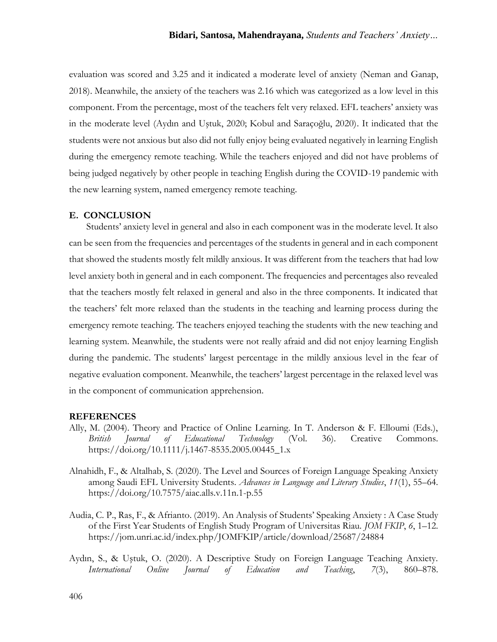evaluation was scored and 3.25 and it indicated a moderate level of anxiety (Neman and Ganap, 2018). Meanwhile, the anxiety of the teachers was 2.16 which was categorized as a low level in this component. From the percentage, most of the teachers felt very relaxed. EFL teachers' anxiety was in the moderate level (Aydın and Uştuk, 2020; Kobul and Saraçoğlu, 2020). It indicated that the students were not anxious but also did not fully enjoy being evaluated negatively in learning English during the emergency remote teaching. While the teachers enjoyed and did not have problems of being judged negatively by other people in teaching English during the COVID-19 pandemic with the new learning system, named emergency remote teaching.

### **E. CONCLUSION**

Students' anxiety level in general and also in each component was in the moderate level. It also can be seen from the frequencies and percentages of the students in general and in each component that showed the students mostly felt mildly anxious. It was different from the teachers that had low level anxiety both in general and in each component. The frequencies and percentages also revealed that the teachers mostly felt relaxed in general and also in the three components. It indicated that the teachers' felt more relaxed than the students in the teaching and learning process during the emergency remote teaching. The teachers enjoyed teaching the students with the new teaching and learning system. Meanwhile, the students were not really afraid and did not enjoy learning English during the pandemic. The students' largest percentage in the mildly anxious level in the fear of negative evaluation component. Meanwhile, the teachers' largest percentage in the relaxed level was in the component of communication apprehension.

#### **REFERENCES**

- Ally, M. (2004). Theory and Practice of Online Learning. In T. Anderson & F. Elloumi (Eds.), *British Journal of Educational Technology* (Vol. 36). Creative Commons. https://doi.org/10.1111/j.1467-8535.2005.00445\_1.x
- Alnahidh, F., & Altalhab, S. (2020). The Level and Sources of Foreign Language Speaking Anxiety among Saudi EFL University Students. *Advances in Language and Literary Studies*, *11*(1), 55–64. https://doi.org/10.7575/aiac.alls.v.11n.1-p.55
- Audia, C. P., Ras, F., & Afrianto. (2019). An Analysis of Students' Speaking Anxiety : A Case Study of the First Year Students of English Study Program of Universitas Riau. *JOM FKIP*, *6*, 1–12. https://jom.unri.ac.id/index.php/JOMFKIP/article/download/25687/24884
- Aydın, S., & Uştuk, O. (2020). A Descriptive Study on Foreign Language Teaching Anxiety. *International Online Journal of Education and Teaching*, *7*(3), 860–878.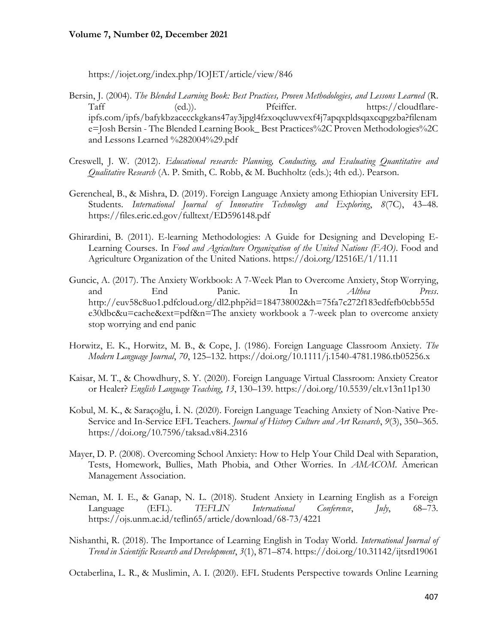https://iojet.org/index.php/IOJET/article/view/846

- Bersin, J. (2004). *The Blended Learning Book: Best Practices, Proven Methodologies, and Lessons Learned* (R. Taff (ed.)). Pfeiffer. https://cloudflareipfs.com/ipfs/bafykbzacecckgkans47ay3jpgl4fzxoqcluwvexf4j7apqxpldsqaxcqpgzba?filenam e=Josh Bersin - The Blended Learning Book\_ Best Practices%2C Proven Methodologies%2C and Lessons Learned %282004%29.pdf
- Creswell, J. W. (2012). *Educational research: Planning, Conducting, and Evaluating Quantitative and Qualitative Research* (A. P. Smith, C. Robb, & M. Buchholtz (eds.); 4th ed.). Pearson.
- Gerencheal, B., & Mishra, D. (2019). Foreign Language Anxiety among Ethiopian University EFL Students. *International Journal of Innovative Technology and Exploring*, *8*(7C), 43–48. https://files.eric.ed.gov/fulltext/ED596148.pdf
- Ghirardini, B. (2011). E-learning Methodologies: A Guide for Designing and Developing E-Learning Courses. In *Food and Agriculture Organization of the United Nations (FAO)*. Food and Agriculture Organization of the United Nations. https://doi.org/I2516E/1/11.11
- Guncic, A. (2017). The Anxiety Workbook: A 7-Week Plan to Overcome Anxiety, Stop Worrying, and End Panic. In *Althea Press*. http://euv58c8uo1.pdfcloud.org/dl2.php?id=184738002&h=75fa7c272f183edfefb0cbb55d e30dbc&u=cache&ext=pdf&n=The anxiety workbook a 7-week plan to overcome anxiety stop worrying and end panic
- Horwitz, E. K., Horwitz, M. B., & Cope, J. (1986). Foreign Language Classroom Anxiety. *The Modern Language Journal*, *70*, 125–132. https://doi.org/10.1111/j.1540-4781.1986.tb05256.x
- Kaisar, M. T., & Chowdhury, S. Y. (2020). Foreign Language Virtual Classroom: Anxiety Creator or Healer? *English Language Teaching*, *13*, 130–139. https://doi.org/10.5539/elt.v13n11p130
- Kobul, M. K., & Saraçoğlu, İ. N. (2020). Foreign Language Teaching Anxiety of Non-Native Pre-Service and In-Service EFL Teachers. *Journal of History Culture and Art Research*, *9*(3), 350–365. https://doi.org/10.7596/taksad.v8i4.2316
- Mayer, D. P. (2008). Overcoming School Anxiety: How to Help Your Child Deal with Separation, Tests, Homework, Bullies, Math Phobia, and Other Worries. In *AMACOM*. American Management Association.
- Neman, M. I. E., & Ganap, N. L. (2018). Student Anxiety in Learning English as a Foreign Language (EFL). *TEFLIN International Conference*, *July*, 68–73. https://ojs.unm.ac.id/teflin65/article/download/68-73/4221
- Nishanthi, R. (2018). The Importance of Learning English in Today World. *International Journal of Trend in Scientific Research and Development*, *3*(1), 871–874. https://doi.org/10.31142/ijtsrd19061

Octaberlina, L. R., & Muslimin, A. I. (2020). EFL Students Perspective towards Online Learning